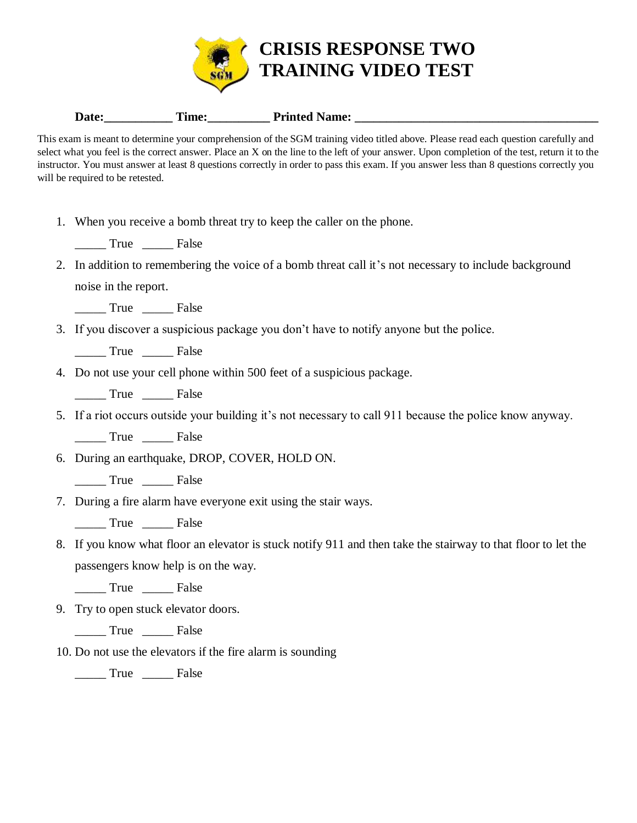

|  | Date: | Ame: | Printed.<br><b>Name:</b> |
|--|-------|------|--------------------------|
|--|-------|------|--------------------------|

This exam is meant to determine your comprehension of the SGM training video titled above. Please read each question carefully and select what you feel is the correct answer. Place an X on the line to the left of your answer. Upon completion of the test, return it to the instructor. You must answer at least 8 questions correctly in order to pass this exam. If you answer less than 8 questions correctly you will be required to be retested.

1. When you receive a bomb threat try to keep the caller on the phone.

\_\_\_\_\_ True \_\_\_\_\_ False

2. In addition to remembering the voice of a bomb threat call it's not necessary to include background noise in the report.

\_\_\_\_\_ True \_\_\_\_\_ False

3. If you discover a suspicious package you don't have to notify anyone but the police.

\_\_\_\_\_ True \_\_\_\_\_ False

- 4. Do not use your cell phone within 500 feet of a suspicious package.
	- \_\_\_\_\_ True \_\_\_\_\_ False
- 5. If a riot occurs outside your building it's not necessary to call 911 because the police know anyway.

\_\_\_\_\_ True \_\_\_\_\_ False

6. During an earthquake, DROP, COVER, HOLD ON.

- \_\_\_\_\_ True \_\_\_\_\_ False
- 7. During a fire alarm have everyone exit using the stair ways.
	- True False
- 8. If you know what floor an elevator is stuck notify 911 and then take the stairway to that floor to let the passengers know help is on the way.

\_\_\_\_\_ True \_\_\_\_\_ False

9. Try to open stuck elevator doors.

\_\_\_\_\_ True \_\_\_\_\_ False

10. Do not use the elevators if the fire alarm is sounding

\_\_\_\_\_ True \_\_\_\_\_ False